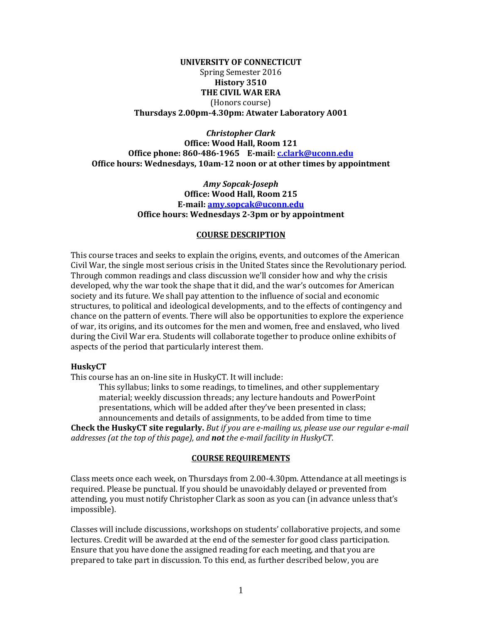#### **UNIVERSITY OF CONNECTICUT** Spring Semester 2016 **History 3510 THE CIVIL WAR ERA** (Honors course) **Thursdays 2.00pm-4.30pm: Atwater Laboratory A001**

*Christopher Clark* **Office: Wood Hall, Room 121 Office phone: 860-486-1965 E-mail: [c.clark@uconn.edu](mailto:c.clark@uconn.edu) Office hours: Wednesdays, 10am-12 noon or at other times by appointment**

> *Amy Sopcak-Joseph* **Office: Wood Hall, Room 215 E-mail: [amy.sopcak@uconn.edu](mailto:amy.sopcak@uconn.edu) Office hours: Wednesdays 2-3pm or by appointment**

#### **COURSE DESCRIPTION**

This course traces and seeks to explain the origins, events, and outcomes of the American Civil War, the single most serious crisis in the United States since the Revolutionary period. Through common readings and class discussion we'll consider how and why the crisis developed, why the war took the shape that it did, and the war's outcomes for American society and its future. We shall pay attention to the influence of social and economic structures, to political and ideological developments, and to the effects of contingency and chance on the pattern of events. There will also be opportunities to explore the experience of war, its origins, and its outcomes for the men and women, free and enslaved, who lived during the Civil War era. Students will collaborate together to produce online exhibits of aspects of the period that particularly interest them.

#### **HuskyCT**

This course has an on-line site in HuskyCT. It will include:

This syllabus; links to some readings, to timelines, and other supplementary material; weekly discussion threads; any lecture handouts and PowerPoint presentations, which will be added after they've been presented in class; announcements and details of assignments, to be added from time to time

**Check the HuskyCT site regularly.** *But if you are e-mailing us, please use our regular e-mail addresses (at the top of this page), and not the e-mail facility in HuskyCT*.

#### **COURSE REQUIREMENTS**

Class meets once each week, on Thursdays from 2.00-4.30pm. Attendance at all meetings is required. Please be punctual. If you should be unavoidably delayed or prevented from attending, you must notify Christopher Clark as soon as you can (in advance unless that's impossible).

Classes will include discussions, workshops on students' collaborative projects, and some lectures. Credit will be awarded at the end of the semester for good class participation. Ensure that you have done the assigned reading for each meeting, and that you are prepared to take part in discussion. To this end, as further described below, you are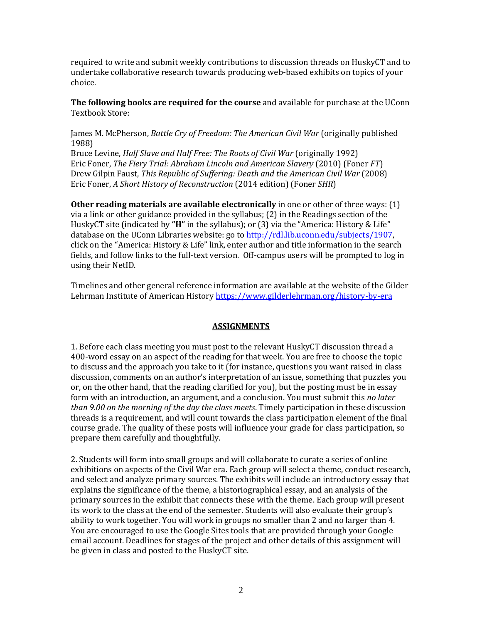required to write and submit weekly contributions to discussion threads on HuskyCT and to undertake collaborative research towards producing web-based exhibits on topics of your choice.

**The following books are required for the course** and available for purchase at the UConn Textbook Store:

James M. McPherson, *Battle Cry of Freedom: The American Civil War* (originally published 1988)

Bruce Levine, *Half Slave and Half Free: The Roots of Civil War* (originally 1992) Eric Foner, *The Fiery Trial: Abraham Lincoln and American Slavery* (2010) (Foner *FT*) Drew Gilpin Faust, *This Republic of Suffering: Death and the American Civil War* (2008) Eric Foner, *A Short History of Reconstruction* (2014 edition) (Foner *SHR*)

**Other reading materials are available electronically** in one or other of three ways: (1) via a link or other guidance provided in the syllabus; (2) in the Readings section of the HuskyCT site (indicated by **"H"** in the syllabus); or (3) via the "America: History & Life" database on the UConn Libraries website: go to [http://rdl.lib.uconn.edu/subjects/1907,](http://rdl.lib.uconn.edu/subjects/1907) click on the "America: History & Life" link, enter author and title information in the search fields, and follow links to the full-text version. Off-campus users will be prompted to log in using their NetID.

Timelines and other general reference information are available at the website of the Gilder Lehrman Institute of American History<https://www.gilderlehrman.org/history-by-era>

#### **ASSIGNMENTS**

1. Before each class meeting you must post to the relevant HuskyCT discussion thread a 400-word essay on an aspect of the reading for that week. You are free to choose the topic to discuss and the approach you take to it (for instance, questions you want raised in class discussion, comments on an author's interpretation of an issue, something that puzzles you or, on the other hand, that the reading clarified for you), but the posting must be in essay form with an introduction, an argument, and a conclusion. You must submit this *no later than 9.00 on the morning of the day the class meets*. Timely participation in these discussion threads is a requirement, and will count towards the class participation element of the final course grade. The quality of these posts will influence your grade for class participation, so prepare them carefully and thoughtfully.

2. Students will form into small groups and will collaborate to curate a series of online exhibitions on aspects of the Civil War era. Each group will select a theme, conduct research, and select and analyze primary sources. The exhibits will include an introductory essay that explains the significance of the theme, a historiographical essay, and an analysis of the primary sources in the exhibit that connects these with the theme. Each group will present its work to the class at the end of the semester. Students will also evaluate their group's ability to work together. You will work in groups no smaller than 2 and no larger than 4. You are encouraged to use the Google Sites tools that are provided through your Google email account. Deadlines for stages of the project and other details of this assignment will be given in class and posted to the HuskyCT site.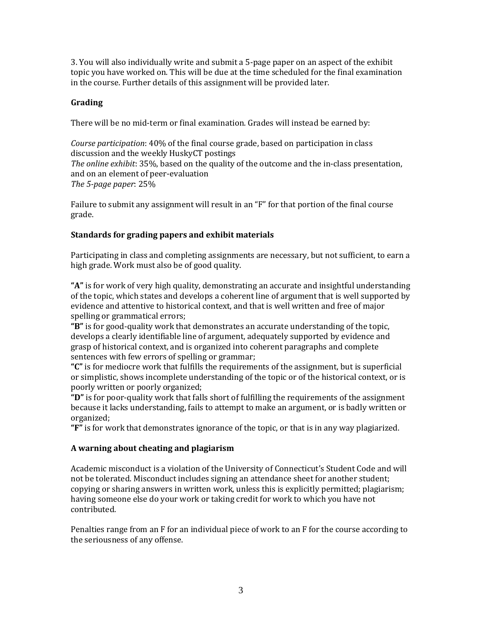3. You will also individually write and submit a 5-page paper on an aspect of the exhibit topic you have worked on. This will be due at the time scheduled for the final examination in the course. Further details of this assignment will be provided later.

## **Grading**

There will be no mid-term or final examination. Grades will instead be earned by:

*Course participation*: 40% of the final course grade, based on participation in class discussion and the weekly HuskyCT postings *The online exhibit*: 35%, based on the quality of the outcome and the in-class presentation, and on an element of peer-evaluation *The 5-page paper*: 25%

Failure to submit any assignment will result in an "F" for that portion of the final course grade.

# **Standards for grading papers and exhibit materials**

Participating in class and completing assignments are necessary, but not sufficient, to earn a high grade. Work must also be of good quality.

**"A"** is for work of very high quality, demonstrating an accurate and insightful understanding of the topic, which states and develops a coherent line of argument that is well supported by evidence and attentive to historical context, and that is well written and free of major spelling or grammatical errors;

**"B"** is for good-quality work that demonstrates an accurate understanding of the topic, develops a clearly identifiable line of argument, adequately supported by evidence and grasp of historical context, and is organized into coherent paragraphs and complete sentences with few errors of spelling or grammar;

**"C"** is for mediocre work that fulfills the requirements of the assignment, but is superficial or simplistic, shows incomplete understanding of the topic or of the historical context, or is poorly written or poorly organized;

**"D"** is for poor-quality work that falls short of fulfilling the requirements of the assignment because it lacks understanding, fails to attempt to make an argument, or is badly written or organized;

**"F"** is for work that demonstrates ignorance of the topic, or that is in any way plagiarized.

# **A warning about cheating and plagiarism**

Academic misconduct is a violation of the University of Connecticut's Student Code and will not be tolerated. Misconduct includes signing an attendance sheet for another student; copying or sharing answers in written work, unless this is explicitly permitted; plagiarism; having someone else do your work or taking credit for work to which you have not contributed.

Penalties range from an F for an individual piece of work to an F for the course according to the seriousness of any offense.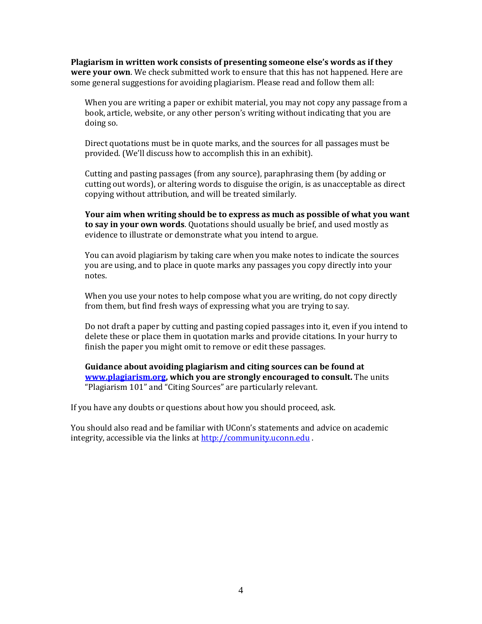**Plagiarism in written work consists of presenting someone else's words as if they were your own**. We check submitted work to ensure that this has not happened. Here are some general suggestions for avoiding plagiarism. Please read and follow them all:

When you are writing a paper or exhibit material, you may not copy any passage from a book, article, website, or any other person's writing without indicating that you are doing so.

Direct quotations must be in quote marks, and the sources for all passages must be provided. (We'll discuss how to accomplish this in an exhibit).

Cutting and pasting passages (from any source), paraphrasing them (by adding or cutting out words), or altering words to disguise the origin, is as unacceptable as direct copying without attribution, and will be treated similarly.

**Your aim when writing should be to express as much as possible of what you want to say in your own words**. Quotations should usually be brief, and used mostly as evidence to illustrate or demonstrate what you intend to argue.

You can avoid plagiarism by taking care when you make notes to indicate the sources you are using, and to place in quote marks any passages you copy directly into your notes.

When you use your notes to help compose what you are writing, do not copy directly from them, but find fresh ways of expressing what you are trying to say.

Do not draft a paper by cutting and pasting copied passages into it, even if you intend to delete these or place them in quotation marks and provide citations. In your hurry to finish the paper you might omit to remove or edit these passages.

**Guidance about avoiding plagiarism and citing sources can be found at [www.plagiarism.org,](http://www.plagiarism.org/) which you are strongly encouraged to consult.** The units "Plagiarism 101" and "Citing Sources" are particularly relevant.

If you have any doubts or questions about how you should proceed, ask.

You should also read and be familiar with UConn's statements and advice on academic integrity, accessible via the links a[t http://community.uconn.edu](http://community.uconn.edu/).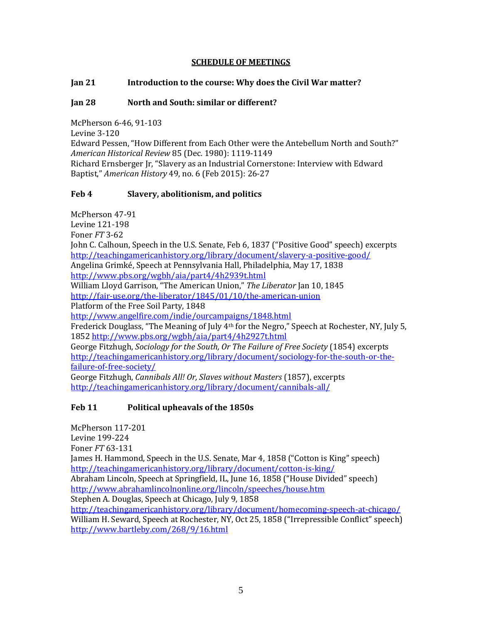## **SCHEDULE OF MEETINGS**

## **Jan 21 Introduction to the course: Why does the Civil War matter?**

## **Jan 28 North and South: similar or different?**

McPherson 6-46, 91-103 Levine 3-120 Edward Pessen, "How Different from Each Other were the Antebellum North and South?" *American Historical Review* 85 (Dec. 1980): 1119-1149 Richard Ernsberger Jr, "Slavery as an Industrial Cornerstone: Interview with Edward Baptist," *American History* 49, no. 6 (Feb 2015): 26-27

## **Feb 4 Slavery, abolitionism, and politics**

McPherson 47-91 Levine 121-198 Foner *FT* 3-62 John C. Calhoun, Speech in the U.S. Senate, Feb 6, 1837 ("Positive Good" speech) excerpts <http://teachingamericanhistory.org/library/document/slavery-a-positive-good/> Angelina Grimké, Speech at Pennsylvania Hall, Philadelphia, May 17, 1838 <http://www.pbs.org/wgbh/aia/part4/4h2939t.html> William Lloyd Garrison, "The American Union," *The Liberator* Jan 10, 1845 <http://fair-use.org/the-liberator/1845/01/10/the-american-union> Platform of the Free Soil Party, 1848 <http://www.angelfire.com/indie/ourcampaigns/1848.html> Frederick Douglass, "The Meaning of July 4th for the Negro," Speech at Rochester, NY, July 5, 1852<http://www.pbs.org/wgbh/aia/part4/4h2927t.html> George Fitzhugh, *Sociology for the South, Or The Failure of Free Society* (1854) excerpts [http://teachingamericanhistory.org/library/document/sociology-for-the-south-or-the](http://teachingamericanhistory.org/library/document/sociology-for-the-south-or-the-failure-of-free-society/)[failure-of-free-society/](http://teachingamericanhistory.org/library/document/sociology-for-the-south-or-the-failure-of-free-society/) George Fitzhugh, *Cannibals All! Or, Slaves without Masters* (1857), excerpts

<http://teachingamericanhistory.org/library/document/cannibals-all/>

# **Feb 11 Political upheavals of the 1850s**

McPherson 117-201 Levine 199-224 Foner *FT* 63-131 James H. Hammond, Speech in the U.S. Senate, Mar 4, 1858 ("Cotton is King" speech) <http://teachingamericanhistory.org/library/document/cotton-is-king/> Abraham Lincoln, Speech at Springfield, IL, June 16, 1858 ("House Divided" speech) <http://www.abrahamlincolnonline.org/lincoln/speeches/house.htm> Stephen A. Douglas, Speech at Chicago, July 9, 1858 <http://teachingamericanhistory.org/library/document/homecoming-speech-at-chicago/> William H. Seward, Speech at Rochester, NY, Oct 25, 1858 ("Irrepressible Conflict" speech) <http://www.bartleby.com/268/9/16.html>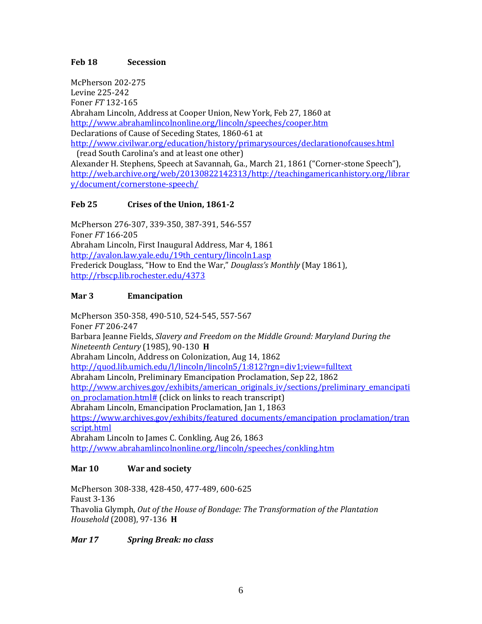## **Feb 18 Secession**

McPherson 202-275 Levine 225-242 Foner *FT* 132-165 Abraham Lincoln, Address at Cooper Union, New York, Feb 27, 1860 at <http://www.abrahamlincolnonline.org/lincoln/speeches/cooper.htm> Declarations of Cause of Seceding States, 1860-61 at <http://www.civilwar.org/education/history/primarysources/declarationofcauses.html>

 (read South Carolina's and at least one other) Alexander H. Stephens, Speech at Savannah, Ga., March 21, 1861 ("Corner-stone Speech"), [http://web.archive.org/web/20130822142313/http://teachingamericanhistory.org/librar](http://web.archive.org/web/20130822142313/http:/teachingamericanhistory.org/library/document/cornerstone-speech/) [y/document/cornerstone-speech/](http://web.archive.org/web/20130822142313/http:/teachingamericanhistory.org/library/document/cornerstone-speech/)

## **Feb 25 Crises of the Union, 1861-2**

McPherson 276-307, 339-350, 387-391, 546-557 Foner *FT* 166-205 Abraham Lincoln, First Inaugural Address, Mar 4, 1861 [http://avalon.law.yale.edu/19th\\_century/lincoln1.asp](http://avalon.law.yale.edu/19th_century/lincoln1.asp) Frederick Douglass, "How to End the War," *Douglass's Monthly* (May 1861), <http://rbscp.lib.rochester.edu/4373>

#### **Mar 3 Emancipation**

McPherson 350-358, 490-510, 524-545, 557-567 Foner *FT* 206-247 Barbara Jeanne Fields, *Slavery and Freedom on the Middle Ground: Maryland During the Nineteenth Century* (1985), 90-130 **H** Abraham Lincoln, Address on Colonization, Aug 14, 1862 <http://quod.lib.umich.edu/l/lincoln/lincoln5/1:812?rgn=div1;view=fulltext> Abraham Lincoln, Preliminary Emancipation Proclamation, Sep 22, 1862 [http://www.archives.gov/exhibits/american\\_originals\\_iv/sections/preliminary\\_emancipati](http://www.archives.gov/exhibits/american_originals_iv/sections/preliminary_emancipation_proclamation.html) on proclamation.html# (click on links to reach transcript) Abraham Lincoln, Emancipation Proclamation, Jan 1, 1863 [https://www.archives.gov/exhibits/featured\\_documents/emancipation\\_proclamation/tran](https://www.archives.gov/exhibits/featured_documents/emancipation_proclamation/transcript.html) [script.html](https://www.archives.gov/exhibits/featured_documents/emancipation_proclamation/transcript.html) Abraham Lincoln to James C. Conkling, Aug 26, 1863 <http://www.abrahamlincolnonline.org/lincoln/speeches/conkling.htm>

## **Mar 10 War and society**

McPherson 308-338, 428-450, 477-489, 600-625 Faust 3-136 Thavolia Glymph, *Out of the House of Bondage: The Transformation of the Plantation Household* (2008), 97-136 **H**

*Mar 17 Spring Break: no class*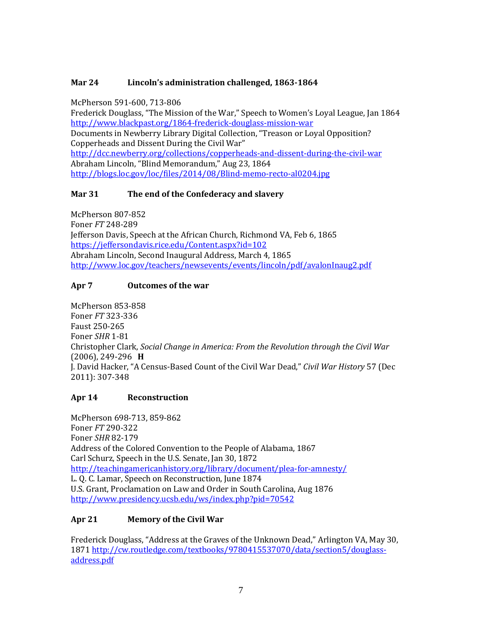# **Mar 24 Lincoln's administration challenged, 1863-1864**

McPherson 591-600, 713-806

Frederick Douglass, "The Mission of the War," Speech to Women's Loyal League, Jan 1864 <http://www.blackpast.org/1864-frederick-douglass-mission-war> Documents in Newberry Library Digital Collection, "Treason or Loyal Opposition? Copperheads and Dissent During the Civil War" <http://dcc.newberry.org/collections/copperheads-and-dissent-during-the-civil-war> Abraham Lincoln, "Blind Memorandum," Aug 23, 1864 <http://blogs.loc.gov/loc/files/2014/08/Blind-memo-recto-al0204.jpg>

## **Mar 31 The end of the Confederacy and slavery**

McPherson 807-852 Foner *FT* 248-289 Jefferson Davis, Speech at the African Church, Richmond VA, Feb 6, 1865 <https://jeffersondavis.rice.edu/Content.aspx?id=102> Abraham Lincoln, Second Inaugural Address, March 4, 1865 <http://www.loc.gov/teachers/newsevents/events/lincoln/pdf/avalonInaug2.pdf>

## **Apr 7 Outcomes of the war**

McPherson 853-858 Foner *FT* 323-336 Faust 250-265 Foner *SHR* 1-81 Christopher Clark, *Social Change in America: From the Revolution through the Civil War* (2006), 249-296 **H** J. David Hacker, "A Census-Based Count of the Civil War Dead," *Civil War History* 57 (Dec 2011): 307-348

## **Apr 14 Reconstruction**

McPherson 698-713, 859-862 Foner *FT* 290-322 Foner *SHR* 82-179 Address of the Colored Convention to the People of Alabama, 1867 Carl Schurz, Speech in the U.S. Senate, Jan 30, 1872 <http://teachingamericanhistory.org/library/document/plea-for-amnesty/> L. Q. C. Lamar, Speech on Reconstruction, June 1874 U.S. Grant, Proclamation on Law and Order in South Carolina, Aug 1876 <http://www.presidency.ucsb.edu/ws/index.php?pid=70542>

# **Apr 21 Memory of the Civil War**

Frederick Douglass, "Address at the Graves of the Unknown Dead," Arlington VA, May 30, 1871 [http://cw.routledge.com/textbooks/9780415537070/data/section5/douglass](http://cw.routledge.com/textbooks/9780415537070/data/section5/douglass-address.pdf)[address.pdf](http://cw.routledge.com/textbooks/9780415537070/data/section5/douglass-address.pdf)